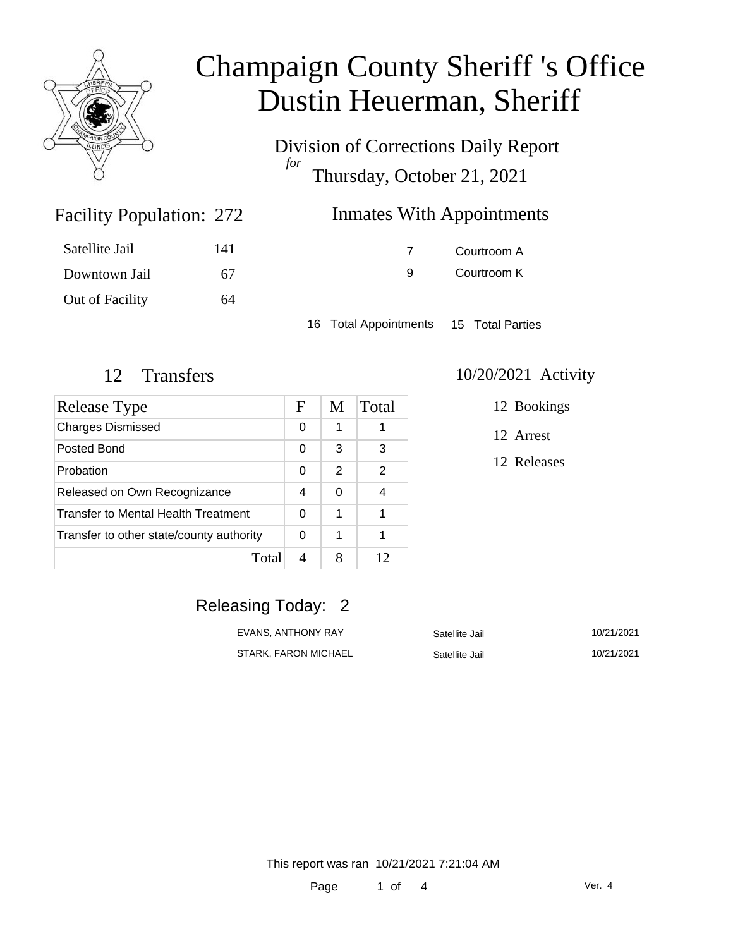

Division of Corrections Daily Report *for* Thursday, October 21, 2021

### **Inmates With Appointments**

| Satellite Jail  | 141 |
|-----------------|-----|
| Downtown Jail   | 67  |
| Out of Facility | 64  |

Facility Population: 272

7 Courtroom A 9 Courtroom K

16 Total Appointments 15 Total Parties

| Release Type                             | F | M | Total |
|------------------------------------------|---|---|-------|
| <b>Charges Dismissed</b>                 | 0 | 1 |       |
| Posted Bond                              | 0 | 3 | 3     |
| Probation                                | 0 | 2 | 2     |
| Released on Own Recognizance             | 4 | 0 |       |
| Transfer to Mental Health Treatment      |   | 1 |       |
| Transfer to other state/county authority | 0 | 1 |       |
| Total                                    |   |   | 12    |

### 12 Transfers 10/20/2021 Activity

12 Bookings

12 Arrest

12 Releases

### Releasing Today: 2

EVANS, ANTHONY RAY Satellite Jail 10/21/2021 STARK, FARON MICHAEL Satellite Jail 10/21/2021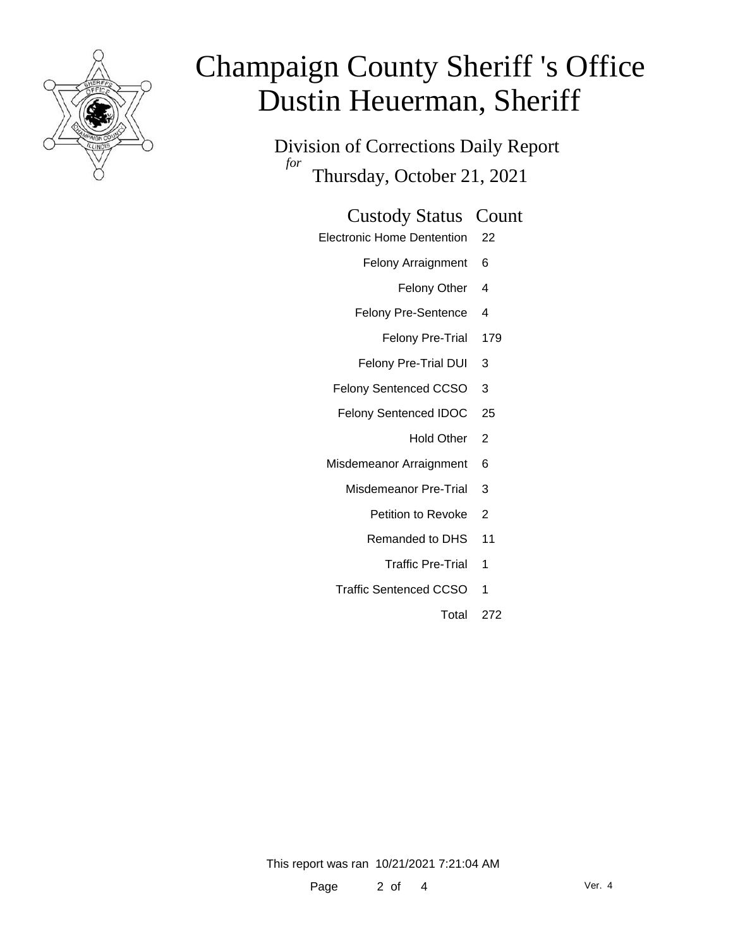

Division of Corrections Daily Report *for* Thursday, October 21, 2021

#### Custody Status Count

- Electronic Home Dentention 22
	- Felony Arraignment 6
		- Felony Other 4
	- Felony Pre-Sentence 4
		- Felony Pre-Trial 179
	- Felony Pre-Trial DUI 3
	- Felony Sentenced CCSO 3
	- Felony Sentenced IDOC 25
		- Hold Other<sub>2</sub>
	- Misdemeanor Arraignment 6
		- Misdemeanor Pre-Trial 3
			- Petition to Revoke 2
			- Remanded to DHS 11
				- Traffic Pre-Trial 1
		- Traffic Sentenced CCSO 1
			- Total 272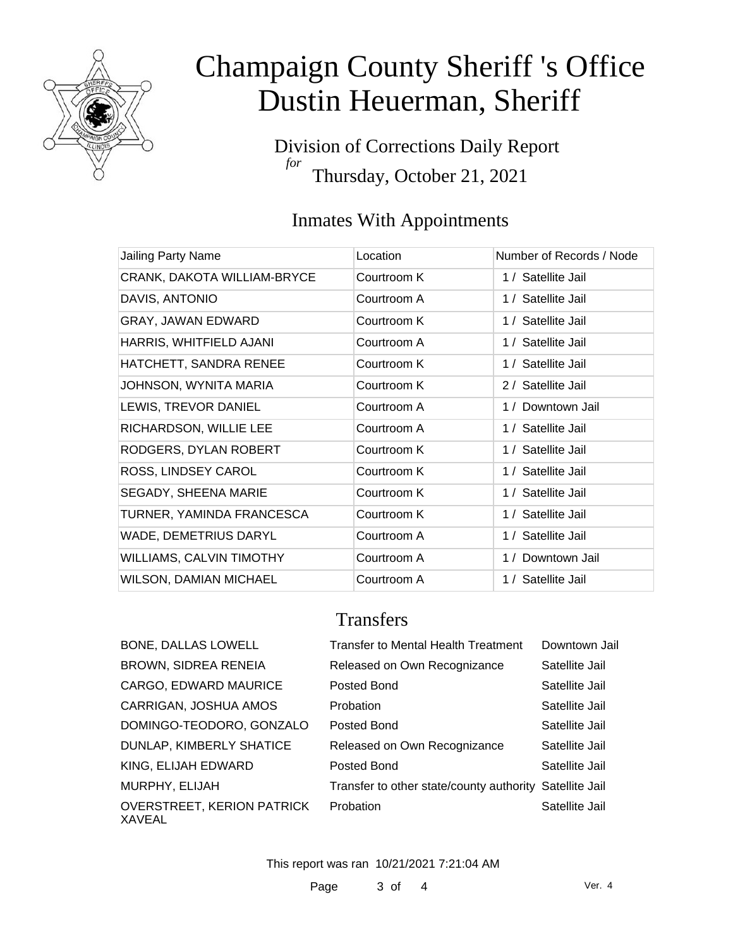

Division of Corrections Daily Report *for* Thursday, October 21, 2021

## Inmates With Appointments

| Jailing Party Name              | Location    | Number of Records / Node |
|---------------------------------|-------------|--------------------------|
| CRANK, DAKOTA WILLIAM-BRYCE     | Courtroom K | 1 / Satellite Jail       |
| DAVIS, ANTONIO                  | Courtroom A | 1 / Satellite Jail       |
| GRAY, JAWAN EDWARD              | Courtroom K | 1 / Satellite Jail       |
| HARRIS, WHITFIELD AJANI         | Courtroom A | 1 / Satellite Jail       |
| HATCHETT, SANDRA RENEE          | Courtroom K | 1 / Satellite Jail       |
| JOHNSON, WYNITA MARIA           | Courtroom K | 2 / Satellite Jail       |
| LEWIS, TREVOR DANIEL            | Courtroom A | 1 / Downtown Jail        |
| RICHARDSON, WILLIE LEE          | Courtroom A | 1 / Satellite Jail       |
| RODGERS, DYLAN ROBERT           | Courtroom K | 1 / Satellite Jail       |
| ROSS, LINDSEY CAROL             | Courtroom K | 1 / Satellite Jail       |
| SEGADY, SHEENA MARIE            | Courtroom K | 1 / Satellite Jail       |
| TURNER, YAMINDA FRANCESCA       | Courtroom K | 1 / Satellite Jail       |
| <b>WADE, DEMETRIUS DARYL</b>    | Courtroom A | 1 / Satellite Jail       |
| <b>WILLIAMS, CALVIN TIMOTHY</b> | Courtroom A | 1 / Downtown Jail        |
| <b>WILSON, DAMIAN MICHAEL</b>   | Courtroom A | 1 / Satellite Jail       |

### **Transfers**

| <b>BONE, DALLAS LOWELL</b>                  | <b>Transfer to Mental Health Treatment</b>              | Downtown Jail  |
|---------------------------------------------|---------------------------------------------------------|----------------|
| <b>BROWN, SIDREA RENEIA</b>                 | Released on Own Recognizance                            | Satellite Jail |
| CARGO, EDWARD MAURICE                       | Posted Bond                                             | Satellite Jail |
| CARRIGAN, JOSHUA AMOS                       | Probation                                               | Satellite Jail |
| DOMINGO-TEODORO, GONZALO                    | Posted Bond                                             | Satellite Jail |
| DUNLAP, KIMBERLY SHATICE                    | Released on Own Recognizance                            | Satellite Jail |
| KING, ELIJAH EDWARD                         | Posted Bond                                             | Satellite Jail |
| MURPHY, ELIJAH                              | Transfer to other state/county authority Satellite Jail |                |
| <b>OVERSTREET, KERION PATRICK</b><br>XAVEAL | Probation                                               | Satellite Jail |